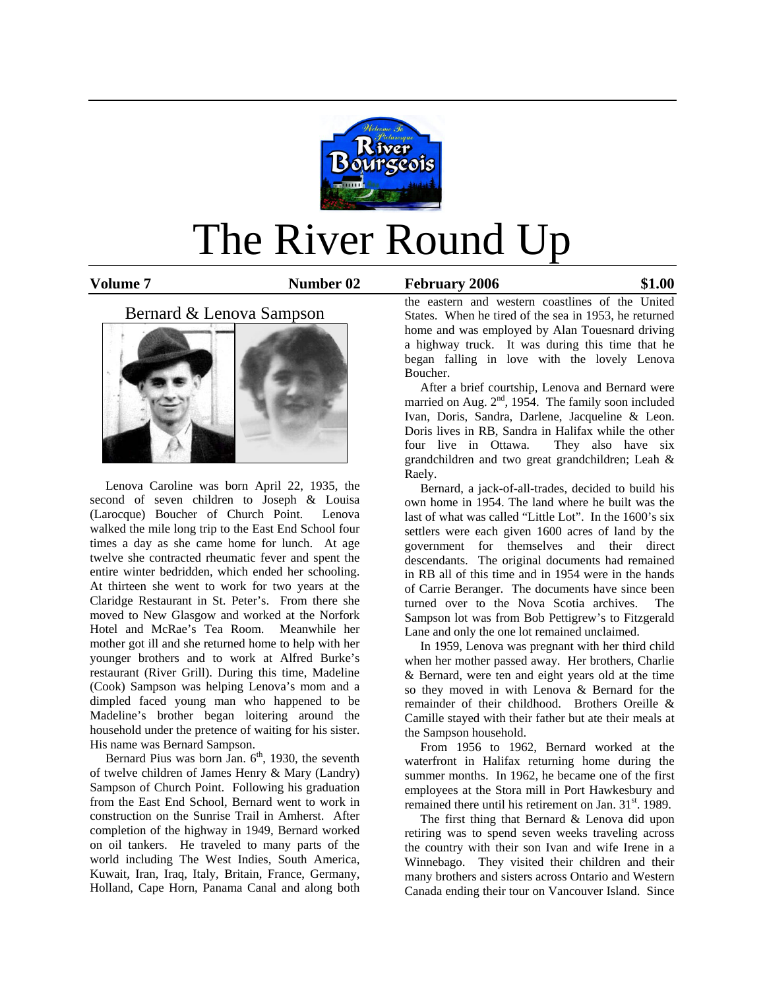

# The River Round Up

**Volume 7 Number 02 February 2006 \$1.00**

## Bernard & Lenova Sampson



 Lenova Caroline was born April 22, 1935, the second of seven children to Joseph & Louisa (Larocque) Boucher of Church Point. Lenova walked the mile long trip to the East End School four times a day as she came home for lunch. At age twelve she contracted rheumatic fever and spent the entire winter bedridden, which ended her schooling. At thirteen she went to work for two years at the Claridge Restaurant in St. Peter's. From there she moved to New Glasgow and worked at the Norfork Hotel and McRae's Tea Room. Meanwhile her mother got ill and she returned home to help with her younger brothers and to work at Alfred Burke's restaurant (River Grill). During this time, Madeline (Cook) Sampson was helping Lenova's mom and a dimpled faced young man who happened to be Madeline's brother began loitering around the household under the pretence of waiting for his sister. His name was Bernard Sampson.

Bernard Pius was born Jan.  $6<sup>th</sup>$ , 1930, the seventh of twelve children of James Henry & Mary (Landry) Sampson of Church Point. Following his graduation from the East End School, Bernard went to work in construction on the Sunrise Trail in Amherst. After completion of the highway in 1949, Bernard worked on oil tankers. He traveled to many parts of the world including The West Indies, South America, Kuwait, Iran, Iraq, Italy, Britain, France, Germany, Holland, Cape Horn, Panama Canal and along both

the eastern and western coastlines of the United States. When he tired of the sea in 1953, he returned home and was employed by Alan Touesnard driving a highway truck. It was during this time that he began falling in love with the lovely Lenova Boucher.

 After a brief courtship, Lenova and Bernard were married on Aug.  $2<sup>nd</sup>$ , 1954. The family soon included Ivan, Doris, Sandra, Darlene, Jacqueline & Leon. Doris lives in RB, Sandra in Halifax while the other four live in Ottawa. They also have six grandchildren and two great grandchildren; Leah & Raely.

 Bernard, a jack-of-all-trades, decided to build his own home in 1954. The land where he built was the last of what was called "Little Lot". In the 1600's six settlers were each given 1600 acres of land by the government for themselves and their direct descendants. The original documents had remained in RB all of this time and in 1954 were in the hands of Carrie Beranger. The documents have since been turned over to the Nova Scotia archives. The Sampson lot was from Bob Pettigrew's to Fitzgerald Lane and only the one lot remained unclaimed.

 In 1959, Lenova was pregnant with her third child when her mother passed away. Her brothers, Charlie & Bernard, were ten and eight years old at the time so they moved in with Lenova & Bernard for the remainder of their childhood. Brothers Oreille & Camille stayed with their father but ate their meals at the Sampson household.

 From 1956 to 1962, Bernard worked at the waterfront in Halifax returning home during the summer months. In 1962, he became one of the first employees at the Stora mill in Port Hawkesbury and remained there until his retirement on Jan. 31<sup>st</sup>. 1989.

 The first thing that Bernard & Lenova did upon retiring was to spend seven weeks traveling across the country with their son Ivan and wife Irene in a Winnebago. They visited their children and their many brothers and sisters across Ontario and Western Canada ending their tour on Vancouver Island. Since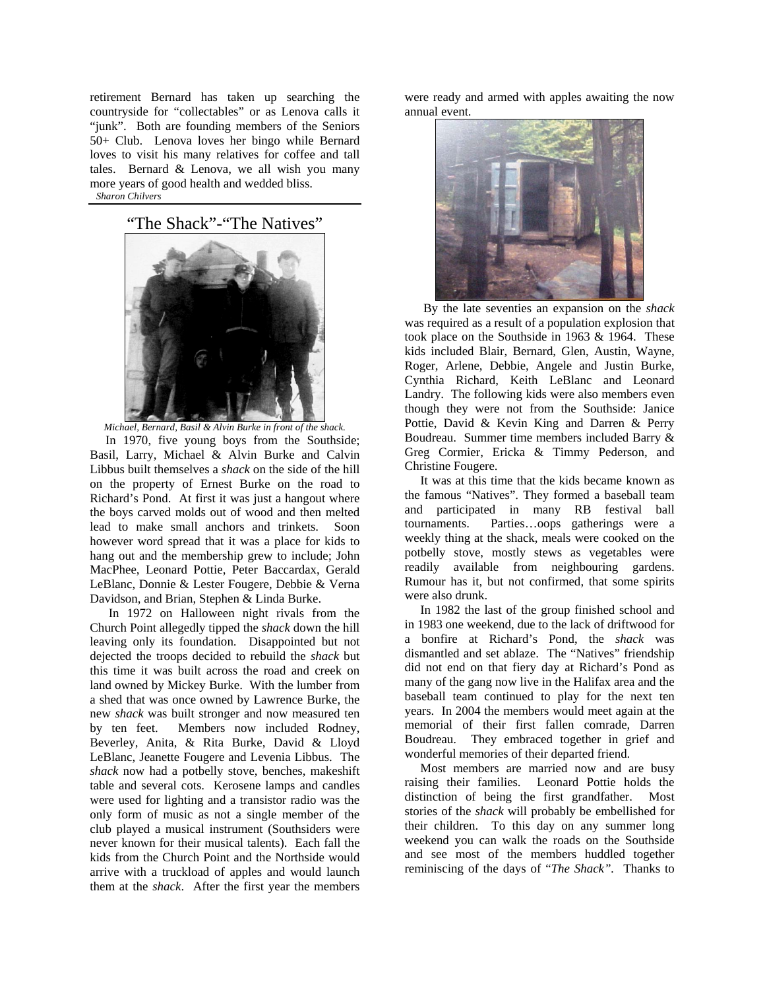retirement Bernard has taken up searching the countryside for "collectables" or as Lenova calls it "junk". Both are founding members of the Seniors 50+ Club. Lenova loves her bingo while Bernard loves to visit his many relatives for coffee and tall tales. Bernard & Lenova, we all wish you many more years of good health and wedded bliss. *Sharon Chilvers* 

"The Shack"-"The Natives"



*Michael, Bernard, Basil & Alvin Burke in front of the shack.* 

 In 1970, five young boys from the Southside; Basil, Larry, Michael & Alvin Burke and Calvin Libbus built themselves a *shack* on the side of the hill on the property of Ernest Burke on the road to Richard's Pond. At first it was just a hangout where the boys carved molds out of wood and then melted lead to make small anchors and trinkets. Soon however word spread that it was a place for kids to hang out and the membership grew to include; John MacPhee, Leonard Pottie, Peter Baccardax, Gerald LeBlanc, Donnie & Lester Fougere, Debbie & Verna Davidson, and Brian, Stephen & Linda Burke.

 In 1972 on Halloween night rivals from the Church Point allegedly tipped the *shack* down the hill leaving only its foundation. Disappointed but not dejected the troops decided to rebuild the *shack* but this time it was built across the road and creek on land owned by Mickey Burke. With the lumber from a shed that was once owned by Lawrence Burke, the new *shack* was built stronger and now measured ten by ten feet. Members now included Rodney, Beverley, Anita, & Rita Burke, David & Lloyd LeBlanc, Jeanette Fougere and Levenia Libbus. The *shack* now had a potbelly stove, benches, makeshift table and several cots. Kerosene lamps and candles were used for lighting and a transistor radio was the only form of music as not a single member of the club played a musical instrument (Southsiders were never known for their musical talents). Each fall the kids from the Church Point and the Northside would arrive with a truckload of apples and would launch them at the *shack*. After the first year the members

were ready and armed with apples awaiting the now annual event.



 By the late seventies an expansion on the *shack* was required as a result of a population explosion that took place on the Southside in 1963 & 1964. These kids included Blair, Bernard, Glen, Austin, Wayne, Roger, Arlene, Debbie, Angele and Justin Burke, Cynthia Richard, Keith LeBlanc and Leonard Landry. The following kids were also members even though they were not from the Southside: Janice Pottie, David & Kevin King and Darren & Perry Boudreau. Summer time members included Barry & Greg Cormier, Ericka & Timmy Pederson, and Christine Fougere.

 It was at this time that the kids became known as the famous "Natives". They formed a baseball team and participated in many RB festival ball tournaments. Parties…oops gatherings were a weekly thing at the shack, meals were cooked on the potbelly stove, mostly stews as vegetables were readily available from neighbouring gardens. Rumour has it, but not confirmed, that some spirits were also drunk.

 In 1982 the last of the group finished school and in 1983 one weekend, due to the lack of driftwood for a bonfire at Richard's Pond, the *shack* was dismantled and set ablaze. The "Natives" friendship did not end on that fiery day at Richard's Pond as many of the gang now live in the Halifax area and the baseball team continued to play for the next ten years. In 2004 the members would meet again at the memorial of their first fallen comrade, Darren Boudreau. They embraced together in grief and wonderful memories of their departed friend.

 Most members are married now and are busy raising their families. Leonard Pottie holds the distinction of being the first grandfather. Most stories of the *shack* will probably be embellished for their children. To this day on any summer long weekend you can walk the roads on the Southside and see most of the members huddled together reminiscing of the days of "*The Shack".* Thanks to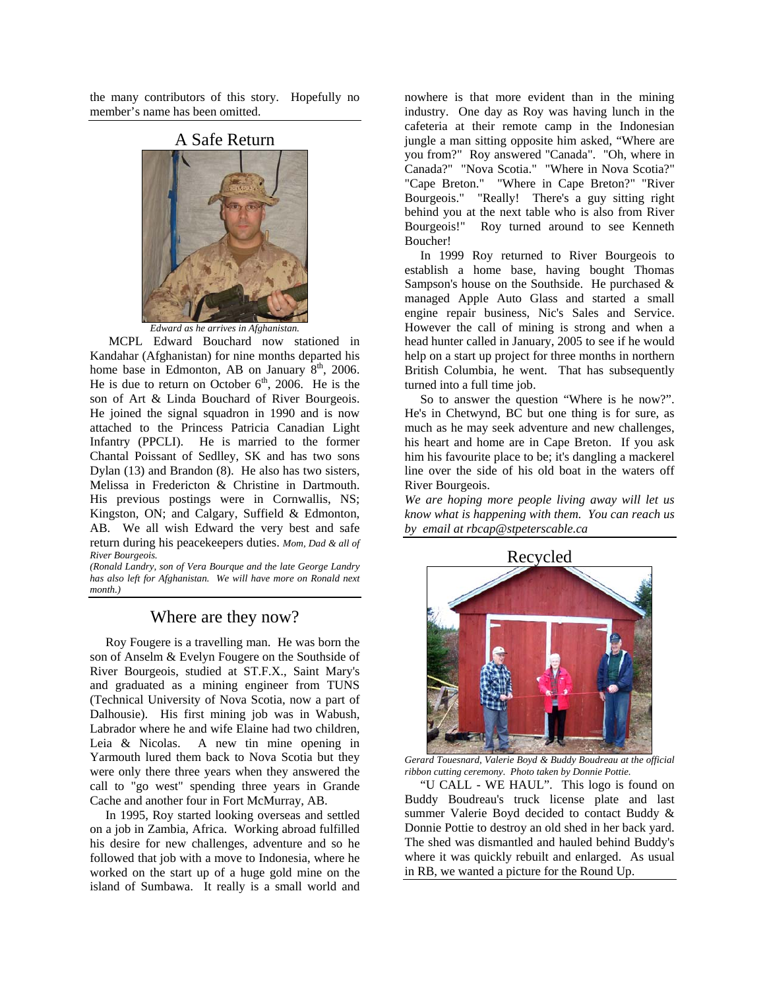the many contributors of this story. Hopefully no member's name has been omitted.



*Edward as he arrives in Afghanistan.*

 MCPL Edward Bouchard now stationed in Kandahar (Afghanistan) for nine months departed his home base in Edmonton, AB on January  $8<sup>th</sup>$ , 2006. He is due to return on October  $6<sup>th</sup>$ , 2006. He is the son of Art & Linda Bouchard of River Bourgeois. He joined the signal squadron in 1990 and is now attached to the Princess Patricia Canadian Light Infantry (PPCLI). He is married to the former Chantal Poissant of Sedlley, SK and has two sons Dylan (13) and Brandon (8). He also has two sisters, Melissa in Fredericton & Christine in Dartmouth. His previous postings were in Cornwallis, NS; Kingston, ON; and Calgary, Suffield & Edmonton, AB. We all wish Edward the very best and safe return during his peacekeepers duties. *Mom, Dad & all of River Bourgeois.* 

*(Ronald Landry, son of Vera Bourque and the late George Landry has also left for Afghanistan. We will have more on Ronald next month.)* 

## Where are they now?

 Roy Fougere is a travelling man. He was born the son of Anselm & Evelyn Fougere on the Southside of River Bourgeois, studied at ST.F.X., Saint Mary's and graduated as a mining engineer from TUNS (Technical University of Nova Scotia, now a part of Dalhousie). His first mining job was in Wabush, Labrador where he and wife Elaine had two children, Leia & Nicolas. A new tin mine opening in Yarmouth lured them back to Nova Scotia but they were only there three years when they answered the call to "go west" spending three years in Grande Cache and another four in Fort McMurray, AB.

 In 1995, Roy started looking overseas and settled on a job in Zambia, Africa. Working abroad fulfilled his desire for new challenges, adventure and so he followed that job with a move to Indonesia, where he worked on the start up of a huge gold mine on the island of Sumbawa. It really is a small world and

nowhere is that more evident than in the mining industry. One day as Roy was having lunch in the cafeteria at their remote camp in the Indonesian jungle a man sitting opposite him asked, "Where are you from?" Roy answered "Canada". "Oh, where in Canada?" "Nova Scotia." "Where in Nova Scotia?" "Cape Breton." "Where in Cape Breton?" "River Bourgeois." "Really! There's a guy sitting right behind you at the next table who is also from River Bourgeois!" Roy turned around to see Kenneth Boucher!

 In 1999 Roy returned to River Bourgeois to establish a home base, having bought Thomas Sampson's house on the Southside. He purchased & managed Apple Auto Glass and started a small engine repair business, Nic's Sales and Service. However the call of mining is strong and when a head hunter called in January, 2005 to see if he would help on a start up project for three months in northern British Columbia, he went. That has subsequently turned into a full time job.

 So to answer the question "Where is he now?". He's in Chetwynd, BC but one thing is for sure, as much as he may seek adventure and new challenges, his heart and home are in Cape Breton. If you ask him his favourite place to be; it's dangling a mackerel line over the side of his old boat in the waters off River Bourgeois.

*We are hoping more people living away will let us know what is happening with them. You can reach us by email at rbcap@stpeterscable.ca* 



*Gerard Touesnard, Valerie Boyd & Buddy Boudreau at the official ribbon cutting ceremony*. *Photo taken by Donnie Pottie.* 

 "U CALL - WE HAUL". This logo is found on Buddy Boudreau's truck license plate and last summer Valerie Boyd decided to contact Buddy & Donnie Pottie to destroy an old shed in her back yard. The shed was dismantled and hauled behind Buddy's where it was quickly rebuilt and enlarged. As usual in RB, we wanted a picture for the Round Up.